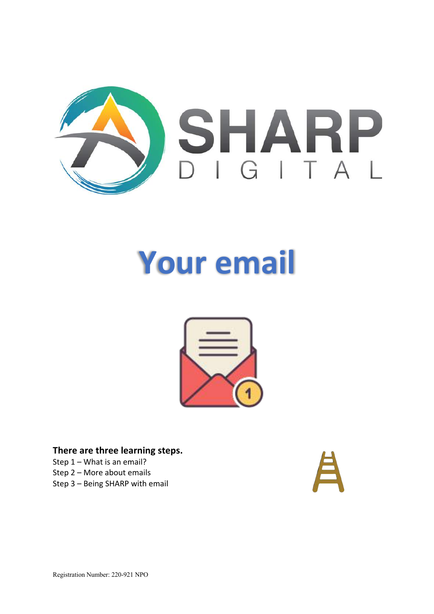

# **Your email**



**There are three learning steps.** Step 1 – What is an email? Step 2 – More about emails

Step 3 – Being SHARP with email

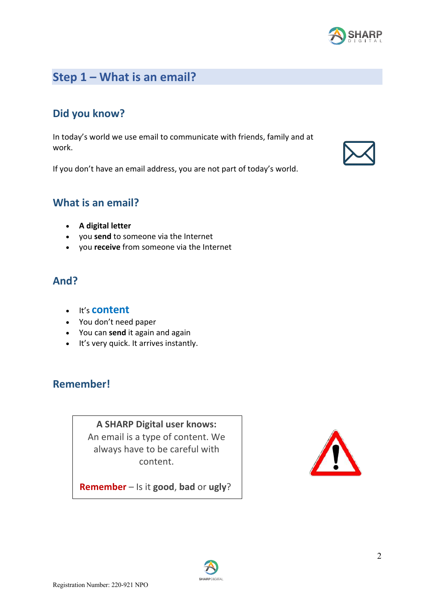

## **Step 1 – What is an email?**

## **Did you know?**

In today's world we use email to communicate with friends, family and at work.

If you don't have an email address, you are not part of today's world.

#### **What is an email?**

- **A digital letter**
- you **send** to someone via the Internet
- you **receive** from someone via the Internet

#### **And?**

- It's **content**
- You don't need paper
- You can **send** it again and again
- It's very quick. It arrives instantly.

#### **Remember!**

**A SHARP Digital user knows:** An email is a type of content. We always have to be careful with content.

**Remember** – Is it **good**, **bad** or **ugly**?



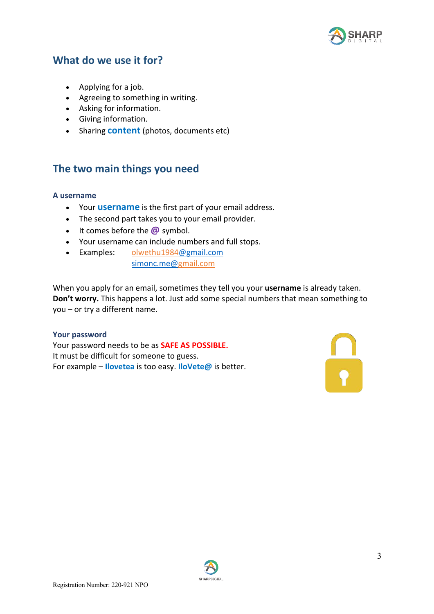

#### **What do we use it for?**

- Applying for a job.
- Agreeing to something in writing.
- Asking for information.
- Giving information.
- Sharing **content** (photos, documents etc)

#### **The two main things you need**

#### **A username**

- Your **username** is the first part of your email address.
- The second part takes you to your email provider.
- It comes before the **@** symbol.
- Your username can include numbers and full stops.
- Examples: olwethu1984@gmail.com simonc.me@gmail.com

When you apply for an email, sometimes they tell you your **username** is already taken. **Don't worry.** This happens a lot. Just add some special numbers that mean something to you – or try a different name.

#### **Your password**

Your password needs to be as **SAFE AS POSSIBLE.** It must be difficult for someone to guess. For example – **Ilovetea** is too easy. **IloVete@** is better.



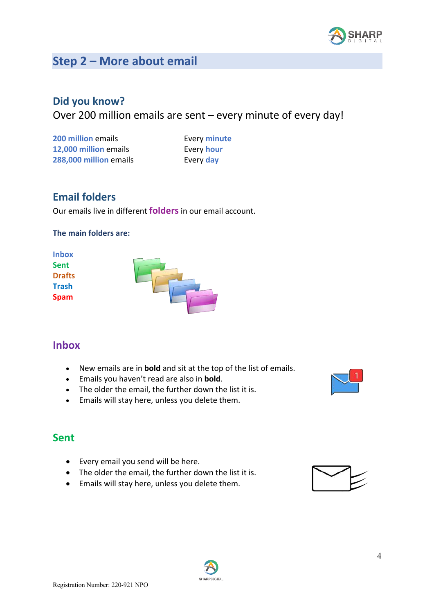

# **Step 2 – More about email**

#### **Did you know?**

Over 200 million emails are sent – every minute of every day!

| 200 million emails     |
|------------------------|
| 12,000 million emails  |
| 288,000 million emails |

**Every minute Every hour Every day** 

## **Email folders**

Our emails live in different **folders**in our email account.

#### **The main folders are:**



#### **Inbox**

- New emails are in **bold** and sit at the top of the list of emails.
- Emails you haven't read are also in **bold**.
- The older the email, the further down the list it is.
- Emails will stay here, unless you delete them.

#### **Sent**

- Every email you send will be here.
- The older the email, the further down the list it is.
- Emails will stay here, unless you delete them.





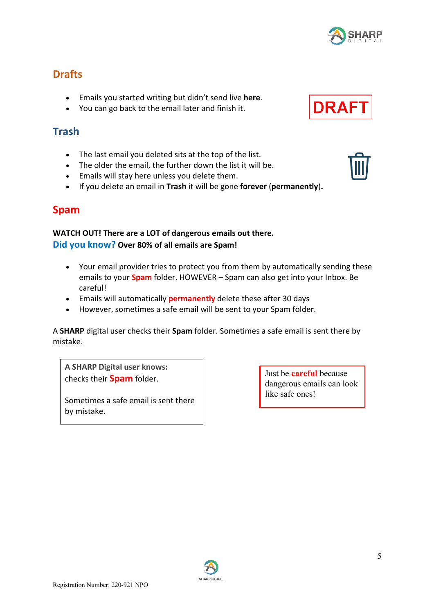#### **Drafts**

- Emails you started writing but didn't send live **here**.
- You can go back to the email later and finish it.

#### **Trash**

- The last email you deleted sits at the top of the list.
- The older the email, the further down the list it will be.
- Emails will stay here unless you delete them.
- If you delete an email in **Trash** it will be gone **forever** (**permanently**)**.**

#### **Spam**

#### **WATCH OUT! There are a LOT of dangerous emails out there. Did you know? Over 80% of all emails are Spam!**

- Your email provider tries to protect you from them by automatically sending these emails to your **Spam** folder. HOWEVER – Spam can also get into your Inbox. Be careful!
- Emails will automatically **permanently** delete these after 30 days
- However, sometimes a safe email will be sent to your Spam folder.

A **SHARP** digital user checks their **Spam** folder. Sometimes a safe email is sent there by mistake.

**A SHARP Digital user knows:** checks their **Spam** folder.

Sometimes a safe email is sent there by mistake.

Just be **careful** because dangerous emails can look like safe ones!





**DRAF** 

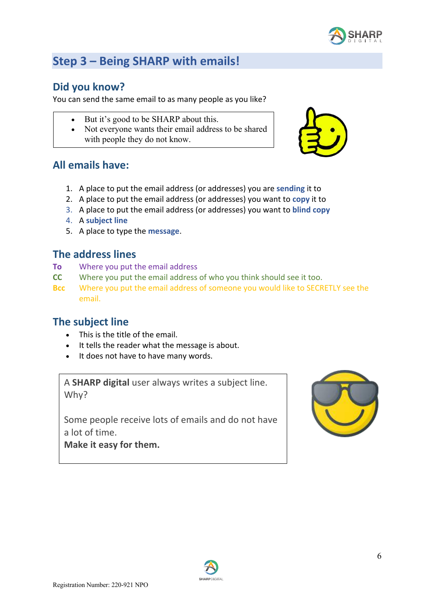

# **Step 3 – Being SHARP with emails!**

#### **Did you know?**

You can send the same email to as many people as you like?

- But it's good to be SHARP about this.
- Not everyone wants their email address to be shared with people they do not know.



#### **All emails have:**

- 1. A place to put the email address (or addresses) you are **sending** it to
- 2. A place to put the email address (or addresses) you want to **copy** it to
- 3. A place to put the email address (or addresses) you want to **blind copy**
- 4. A **subject line**
- 5. A place to type the **message**.

#### **The address lines**

- **To** Where you put the email address
- **CC** Where you put the email address of who you think should see it too.
- **Bcc** Where you put the email address of someone you would like to SECRETLY see the email.

#### **The subject line**

- This is the title of the email.
- It tells the reader what the message is about.
- It does not have to have many words.

A **SHARP digital** user always writes a subject line. Why?

Some people receive lots of emails and do not have a lot of time.

**Make it easy for them.**



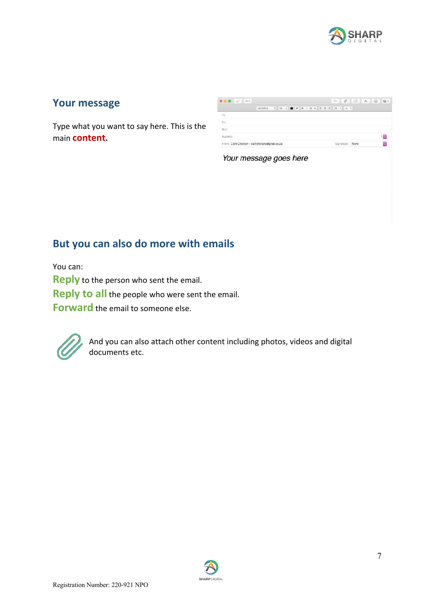

#### **Your message**

Type what you want to say here. This is the main **content.**

|                                              | Helvetica 0 36 0 ■ X B / B 3 B 3 3 ± 9 → V |  |  |  |  |  |  |                 |  |    |
|----------------------------------------------|--------------------------------------------|--|--|--|--|--|--|-----------------|--|----|
| $\mathsf{T0}$                                |                                            |  |  |  |  |  |  |                 |  |    |
| Cc:                                          |                                            |  |  |  |  |  |  |                 |  |    |
| Bec                                          |                                            |  |  |  |  |  |  |                 |  |    |
| Subject:                                     |                                            |  |  |  |  |  |  |                 |  | 18 |
| From: Cath Croxton - cath@sharpdigital.co.28 |                                            |  |  |  |  |  |  | Signature: None |  | ÷  |

Your message goes here

## **But you can also do more with emails**

You can: **Reply** to the person who sent the email. **Reply to all** the people who were sent the email. **Forward** the email to someone else.



And you can also attach other content including photos, videos and digital documents etc.